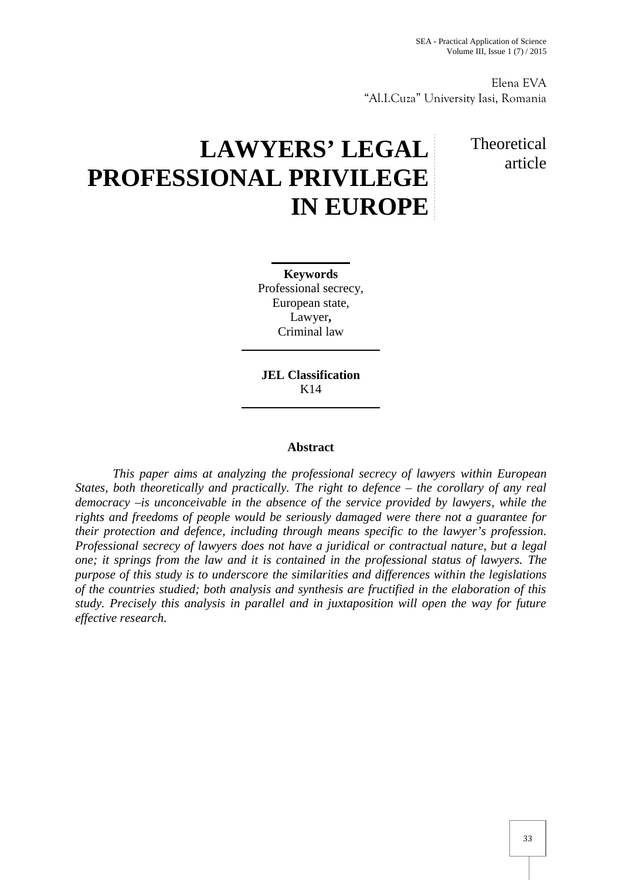Elena EVA "Al.I.Cuza" University Iasi, Romania

## **LAWYERS' LEGAL PROFESSIONAL PRIVILEGE IN EUROPE**

## Theoretical article

**Keywords** Professional secrecy, European state, Lawyer**,** Criminal law

**JEL Classification** K14

## **Abstract**

*This paper aims at analyzing the professional secrecy of lawyers within European States, both theoretically and practically. The right to defence – the corollary of any real democracy –is unconceivable in the absence of the service provided by lawyers, while the rights and freedoms of people would be seriously damaged were there not a guarantee for their protection and defence, including through means specific to the lawyer's profession. Professional secrecy of lawyers does not have a juridical or contractual nature, but a legal one; it springs from the law and it is contained in the professional status of lawyers. The purpose of this study is to underscore the similarities and differences within the legislations of the countries studied; both analysis and synthesis are fructified in the elaboration of this study. Precisely this analysis in parallel and in juxtaposition will open the way for future effective research.*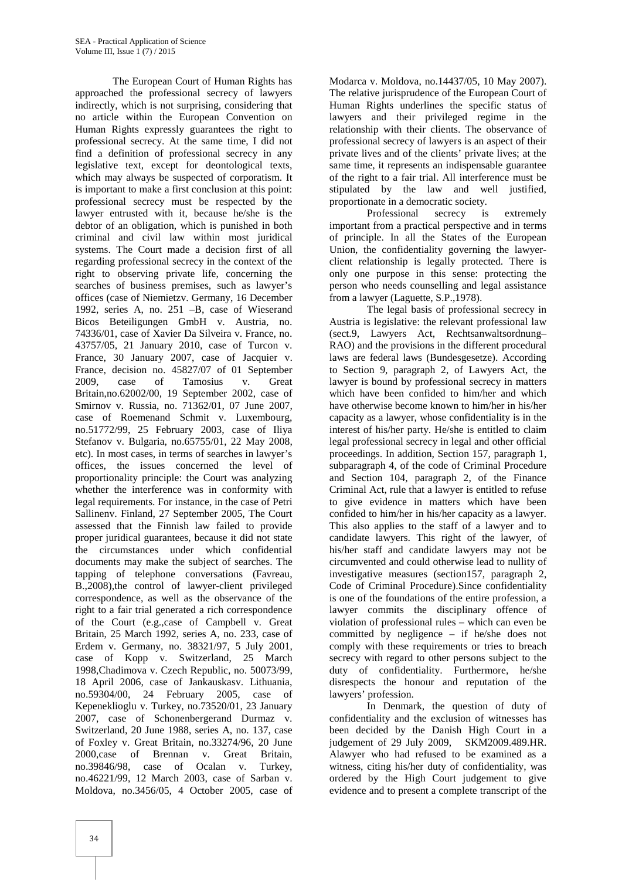The European Court of Human Rights has approached the professional secrecy of lawyers indirectly, which is not surprising, considering that no article within the European Convention on Human Rights expressly guarantees the right to professional secrecy. At the same time, I did not find a definition of professional secrecy in any legislative text, except for deontological texts, which may always be suspected of corporatism. It is important to make a first conclusion at this point: professional secrecy must be respected by the lawyer entrusted with it, because he/she is the debtor of an obligation, which is punished in both criminal and civil law within most juridical systems. The Court made a decision first of all regarding professional secrecy in the context of the right to observing private life, concerning the searches of business premises, such as lawyer's offices (case of Niemietzv. Germany, 16 December 1992, series A, no. 251 –B, case of Wieserand Bicos Beteiligungen GmbH v. Austria, no. 74336/01, case of Xavier Da Silveira v. France, no. 43757/05, 21 January 2010, case of Turcon v. France, 30 January 2007, case of Jacquier v. France, decision no.45827/07 of 01 September 2009, case of Tamosius v. Great Britain,no.62002/00, 19 September 2002, case of Smirnov v. Russia, no. 71362/01, 07 June 2007, case of Roemenand Schmit v. Luxembourg, no.51772/99, 25 February 2003, case of Iliya Stefanov v. Bulgaria, no.65755/01, 22 May 2008, etc). In most cases, in terms of searches in lawyer's offices, the issues concerned the level of proportionality principle: the Court was analyzing whether the interference was in conformity with legal requirements. For instance, in the case of Petri Sallinenv. Finland, 27 September 2005, The Court assessed that the Finnish law failed to provide proper juridical guarantees, because it did not state the circumstances under which confidential documents may make the subject of searches. The tapping of telephone conversations (Favreau, B.,2008),the control of lawyer-client privileged correspondence, as well as the observance of the right to a fair trial generated a rich correspondence of the Court (e.g.,case of Campbell v. Great Britain, 25 March 1992, series A, no. 233, case of Erdem v. Germany, no. 38321/97, 5 July 2001, case of Kopp v. Switzerland, 25 March 1998,Chadimova v. Czech Republic, no. 50073/99, 18 April 2006, case of Jankauskasv. Lithuania, no.59304/00, 24 February 2005, case of Kepeneklioglu v. Turkey, no.73520/01, 23 January 2007, case of Schonenbergerand Durmaz v. Switzerland, 20 June 1988, series A, no. 137, case of Foxley v. Great Britain, no.33274/96, 20 June 2000,case of Brennan v. Great Britain, no.39846/98, case of Ocalan v. Turkey, no.46221/99, 12 March 2003, case of Sarban v. Moldova, no.3456/05, 4 October 2005, case of

Modarca v. Moldova, no.14437/05, 10 May 2007). The relative jurisprudence of the European Court of Human Rights underlines the specific status of lawyers and their privileged regime in the relationship with their clients. The observance of professional secrecy of lawyers is an aspect of their private lives and of the clients' private lives; at the same time, it represents an indispensable guarantee of the right to a fair trial. All interference must be stipulated by the law and well justified, proportionate in a democratic society.

Professional secrecy is extremely important from a practical perspective and in terms of principle. In all the States of the European Union, the confidentiality governing the lawyer client relationship is legally protected. There is only one purpose in this sense: protecting the person who needs counselling and legal assistance from a lawyer (Laguette, S.P.,1978).

The legal basis of professional secrecy in Austria is legislative: the relevant professional law (sect.9, Lawyers Act, Rechtsanwaltsordnung– RAO) and the provisions in the different procedural laws are federal laws (Bundesgesetze). According to Section 9, paragraph 2, of Lawyers Act, the lawyer is bound by professional secrecy in matters which have been confided to him/her and which have otherwise become known to him/her in his/her capacity as a lawyer, whose confidentiality is in the interest of his/her party. He/she is entitled to claim legal professional secrecy in legal and other official proceedings. In addition, Section 157, paragraph 1, subparagraph 4, of the code of Criminal Procedure and Section 104, paragraph 2, of the Finance Criminal Act, rule that a lawyer is entitled to refuse to give evidence in matters which have been confided to him/her in his/her capacity as a lawyer. This also applies to the staff of a lawyer and to candidate lawyers. This right of the lawyer, of his/her staff and candidate lawyers may not be circumvented and could otherwise lead to nullity of investigative measures (section157, paragraph 2, Code of Criminal Procedure).Since confidentiality is one of the foundations of the entire profession, a lawyer commits the disciplinary offence of violation of professional rules – which can even be committed by negligence – if he/she does not comply with these requirements or tries to breach secrecy with regard to other persons subject to the duty of confidentiality. Furthermore, he/she disrespects the honour and reputation of the lawyers' profession.

In Denmark, the question of duty of confidentiality and the exclusion of witnesses has been decided by the Danish High Court in a judgement of 29 July 2009, SKM2009.489.HR. Alawyer who had refused to be examined as a witness, citing his/her duty of confidentiality, was ordered by the High Court judgement to give evidence and to present a complete transcript of the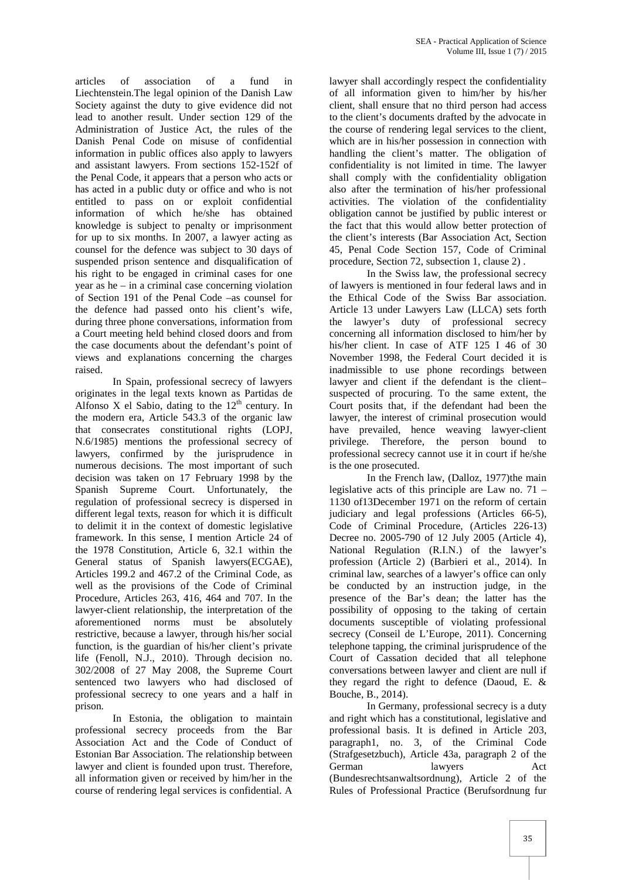articles of association of a fund in Liechtenstein.The legal opinion of the Danish Law Society against the duty to give evidence did not lead to another result. Under section 129 of the Administration of Justice Act, the rules of the Danish Penal Code on misuse of confidential information in public offices also apply to lawyers and assistant lawyers. From sections 152-152f of the Penal Code, it appears that a person who acts or has acted in a public duty or office and who is not entitled to pass on or exploit confidential information of which he/she has obtained knowledge is subject to penalty or imprisonment for up to six months. In 2007, a lawyer acting as counsel for the defence was subject to 30 days of suspended prison sentence and disqualification of his right to be engaged in criminal cases for one year as he – in a criminal case concerning violation of Section 191 of the Penal Code –as counsel for the defence had passed onto his client's wife, during three phone conversations, information from a Court meeting held behind closed doors and from the case documents about the defendant's point of views and explanations concerning the charges raised.

In Spain, professional secrecy of lawyers originates in the legal texts known as Partidas de Alfonso X el Sabio, dating to the  $12<sup>th</sup>$  century. In the modern era, Article 543.3 of the organic law that consecrates constitutional rights (LOPJ, N.6/1985) mentions the professional secrecy of lawyers, confirmed by the jurisprudence in numerous decisions. The most important of such decision was taken on 17 February 1998 by the Spanish Supreme Court. Unfortunately, the regulation of professional secrecy is dispersed in different legal texts, reason for which it is difficult to delimit it in the context of domestic legislative framework. In this sense, I mention Article 24 of the 1978 Constitution, Article 6, 32.1 within the General status of Spanish lawyers(ECGAE), Articles 199.2 and 467.2 of the Criminal Code, as well as the provisions of the Code of Criminal Procedure, Articles 263, 416, 464 and 707. In the lawyer-client relationship, the interpretation of the aforementioned norms must be absolutely restrictive, because a lawyer, through his/her social function, is the guardian of his/her client's private life (Fenoll, N.J., 2010). Through decision no. 302/2008 of 27 May 2008, the Supreme Court sentenced two lawyers who had disclosed of professional secrecy to one years and a half in prison.

In Estonia, the obligation to maintain professional secrecy proceeds from the Bar Association Act and the Code of Conduct of Estonian Bar Association. The relationship between lawyer and client is founded upon trust. Therefore, all information given or received by him/her in the course of rendering legal services is confidential. A

lawyer shall accordingly respect the confidentiality of all information given to him/her by his/her client, shall ensure that no third person had access to the client's documents drafted by the advocate in the course of rendering legal services to the client, which are in his/her possession in connection with handling the client's matter. The obligation of confidentiality is not limited in time. The lawyer shall comply with the confidentiality obligation also after the termination of his/her professional activities. The violation of the confidentiality obligation cannot be justified by public interest or the fact that this would allow better protection of the client's interests (Bar Association Act, Section 45, Penal Code Section 157, Code of Criminal procedure, Section 72, subsection 1, clause 2) .

In the Swiss law, the professional secrecy of lawyers is mentioned in four federal laws and in the Ethical Code of the Swiss Bar association. Article 13 under Lawyers Law (LLCA) sets forth the lawyer's duty of professional secrecy concerning all information disclosed to him/her by his/her client. In case of ATF 125 I 46 of 30 November 1998, the Federal Court decided it is inadmissible to use phone recordings between lawyer and client if the defendant is the client– suspected of procuring. To the same extent, the Court posits that, if the defendant had been the lawyer, the interest of criminal prosecution would have prevailed, hence weaving lawyer-client privilege. Therefore, the person bound to professional secrecy cannot use it in court if he/she is the one prosecuted.

In the French law, (Dalloz, 1977)the main legislative acts of this principle are Law no. 71 – 1130 of13December 1971 on the reform of certain judiciary and legal professions (Articles 66-5), Code of Criminal Procedure, (Articles 226-13) Decree no. 2005-790 of 12 July 2005 (Article 4), National Regulation (R.I.N.) of the lawyer's profession (Article 2) (Barbieri et al., 2014). In criminal law, searches of a lawyer's office can only be conducted by an instruction judge, in the presence of the Bar's dean; the latter has the possibility of opposing to the taking of certain documents susceptible of violating professional secrecy (Conseil de L'Europe, 2011). Concerning telephone tapping, the criminal jurisprudence of the Court of Cassation decided that all telephone conversations between lawyer and client are null if they regard the right to defence (Daoud, E. & Bouche, B., 2014).

In Germany, professional secrecy is a duty and right which has a constitutional, legislative and professional basis. It is defined in Article 203, paragraph1, no. 3, of the Criminal Code (Strafgesetzbuch), Article 43a, paragraph 2 of the German lawyers Act (Bundesrechtsanwaltsordnung), Article 2 of the Rules of Professional Practice (Berufsordnung fur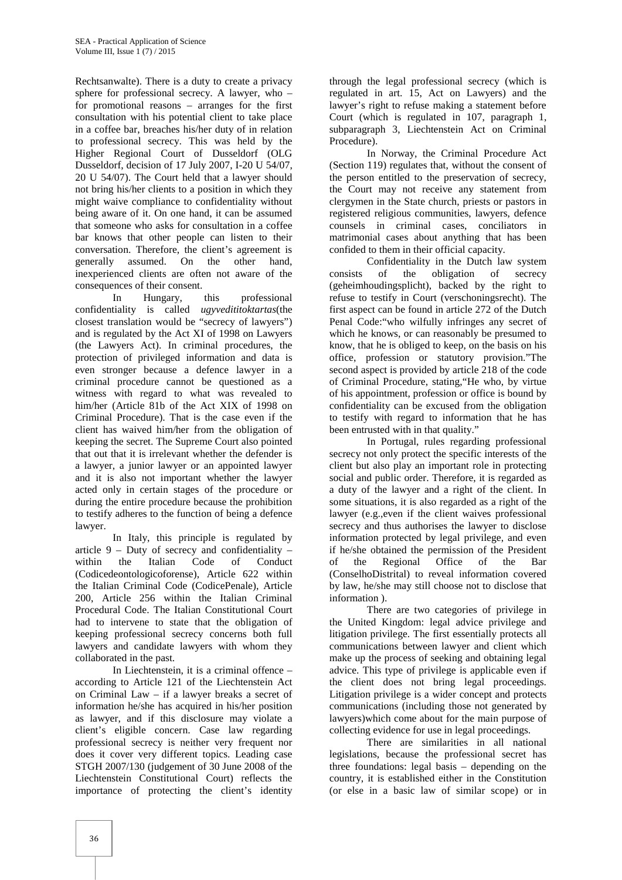Rechtsanwalte). There is a duty to create a privacy sphere for professional secrecy. A lawyer, who – for promotional reasons – arranges for the first consultation with his potential client to take place in a coffee bar, breaches his/her duty of in relation to professional secrecy. This was held by the Higher Regional Court of Dusseldorf (OLG Dusseldorf, decision of 17 July 2007, I-20 U 54/07, 20 U 54/07). The Court held that a lawyer should not bring his/her clients to a position in which they might waive compliance to confidentiality without being aware of it. On one hand, it can be assumed that someone who asks for consultation in a coffee bar knows that other people can listen to their conversation. Therefore, the client's agreement is generally assumed. On the other hand, inexperienced clients are often not aware of the consequences of their consent.

In Hungary, this professional confidentiality is called *ugyvedititoktartas*(the closest translation would be "secrecy of lawyers") and is regulated by the Act XI of 1998 on Lawyers (the Lawyers Act). In criminal procedures, the protection of privileged information and data is even stronger because a defence lawyer in a criminal procedure cannot be questioned as a witness with regard to what was revealed to him/her (Article 81b of the Act XIX of 1998 on Criminal Procedure). That is the case even if the client has waived him/her from the obligation of keeping the secret. The Supreme Court also pointed that out that it is irrelevant whether the defender is a lawyer, a junior lawyer or an appointed lawyer and it is also not important whether the lawyer acted only in certain stages of the procedure or during the entire procedure because the prohibition to testify adheres to the function of being a defence lawyer.

In Italy, this principle is regulated by article  $9$  – Duty of secrecy and confidentiality – within the Italian Code of Conduct (Codicedeontologicoforense), Article 622 within the Italian Criminal Code (CodicePenale), Article 200, Article 256 within the Italian Criminal Procedural Code. The Italian Constitutional Court had to intervene to state that the obligation of keeping professional secrecy concerns both full lawyers and candidate lawyers with whom they collaborated in the past.

In Liechtenstein, it is a criminal offence – according to Article 121 of the Liechtenstein Act on Criminal Law – if a lawyer breaks a secret of information he/she has acquired in his/her position as lawyer, and if this disclosure may violate a client's eligible concern. Case law regarding professional secrecy is neither very frequent nor does it cover very different topics. Leading case STGH 2007/130 (judgement of 30 June 2008 of the Liechtenstein Constitutional Court) reflects the importance of protecting the client's identity

through the legal professional secrecy (which is regulated in art. 15, Act on Lawyers) and the lawyer's right to refuse making a statement before Court (which is regulated in 107, paragraph 1, subparagraph 3, Liechtenstein Act on Criminal Procedure).

In Norway, the Criminal Procedure Act (Section 119) regulates that, without the consent of the person entitled to the preservation of secrecy, the Court may not receive any statement from clergymen in the State church, priests or pastors in registered religious communities, lawyers, defence counsels in criminal cases, conciliators in matrimonial cases about anything that has been confided to them in their official capacity.

Confidentiality in the Dutch law system consists of the obligation of secrecy (geheimhoudingsplicht), backed by the right to refuse to testify in Court (verschoningsrecht). The first aspect can be found in article 272 of the Dutch Penal Code:"who wilfully infringes any secret of which he knows, or can reasonably be presumed to know, that he is obliged to keep, on the basis on his office, profession or statutory provision."The second aspect is provided by article 218 of the code of Criminal Procedure, stating,"He who, by virtue of his appointment, profession or office is bound by confidentiality can be excused from the obligation to testify with regard to information that he has been entrusted with in that quality."

In Portugal, rules regarding professional secrecy not only protect the specific interests of the client but also play an important role in protecting social and public order. Therefore, it is regarded as a duty of the lawyer and a right of the client. In some situations, it is also regarded as a right of the lawyer (e.g.,even if the client waives professional secrecy and thus authorises the lawyer to disclose information protected by legal privilege, and even if he/she obtained the permission of the President of the Regional Office of the Bar (ConselhoDistrital) to reveal information covered by law, he/she may still choose not to disclose that information ).

There are two categories of privilege in the United Kingdom: legal advice privilege and litigation privilege. The first essentially protects all communications between lawyer and client which make up the process of seeking and obtaining legal advice. This type of privilege is applicable even if the client does not bring legal proceedings. Litigation privilege is a wider concept and protects communications (including those not generated by lawyers)which come about for the main purpose of collecting evidence for use in legal proceedings.

There are similarities in all national legislations, because the professional secret has three foundations: legal basis – depending on the country, it is established either in the Constitution (or else in a basic law of similar scope) or in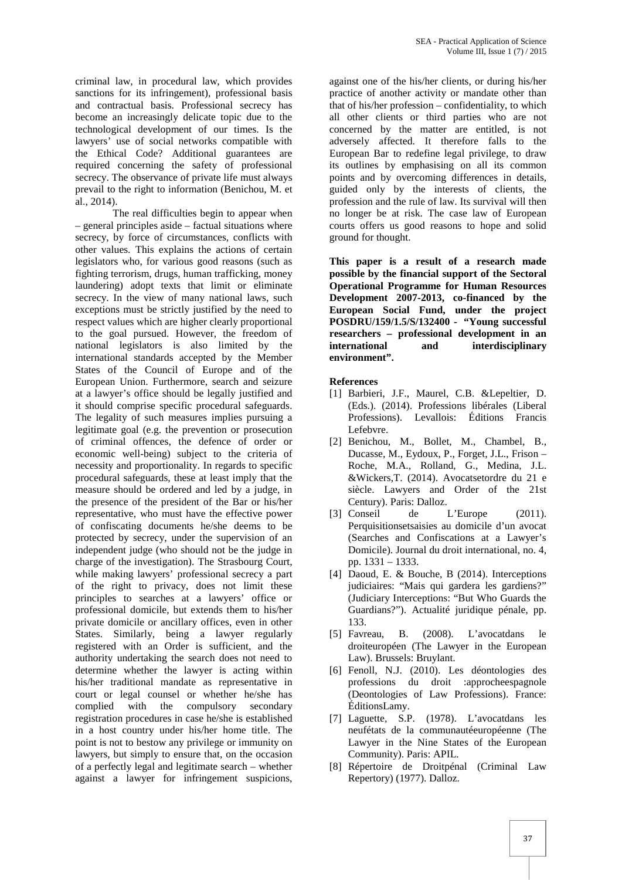criminal law, in procedural law, which provides sanctions for its infringement), professional basis and contractual basis. Professional secrecy has become an increasingly delicate topic due to the technological development of our times. Is the lawyers' use of social networks compatible with the Ethical Code? Additional guarantees are required concerning the safety of professional secrecy. The observance of private life must always prevail to the right to information (Benichou, M. et al., 2014).

The real difficulties begin to appear when – general principles aside – factual situations where secrecy, by force of circumstances, conflicts with other values. This explains the actions of certain legislators who, for various good reasons (such as fighting terrorism, drugs, human trafficking, money laundering) adopt texts that limit or eliminate secrecy. In the view of many national laws, such exceptions must be strictly justified by the need to respect values which are higher clearly proportional to the goal pursued. However, the freedom of national legislators is also limited by the international standards accepted by the Member States of the Council of Europe and of the European Union. Furthermore, search and seizure at a lawyer's office should be legally justified and it should comprise specific procedural safeguards. The legality of such measures implies pursuing a legitimate goal (e.g. the prevention or prosecution of criminal offences, the defence of order or economic well-being) subject to the criteria of necessity and proportionality. In regards to specific procedural safeguards, these at least imply that the measure should be ordered and led by a judge, in the presence of the president of the Bar or his/her representative, who must have the effective power of confiscating documents he/she deems to be protected by secrecy, under the supervision of an independent judge (who should not be the judge in charge of the investigation). The Strasbourg Court, while making lawyers' professional secrecy a part of the right to privacy, does not limit these principles to searches at a lawyers' office or professional domicile, but extends them to his/her private domicile or ancillary offices, even in other States. Similarly, being a lawyer regularly [5] Favreau, registered with an Order is sufficient, and the authority undertaking the search does not need to determine whether the lawyer is acting within his/her traditional mandate as representative in court or legal counsel or whether he/she has complied with the compulsory secondary registration procedures in case he/she is established in a host country under his/her home title. The point is not to bestow any privilege or immunity on lawyers, but simply to ensure that, on the occasion of a perfectly legal and legitimate search – whether against a lawyer for infringement suspicions,

against one of the his/her clients, or during his/her practice of another activity or mandate other than that of his/her profession – confidentiality, to which all other clients or third parties who are not concerned by the matter are entitled, is not adversely affected. It therefore falls to the European Bar to redefine legal privilege, to draw its outlines by emphasising on all its common points and by overcoming differences in details, guided only by the interests of clients, the profession and the rule of law. Its survival will then no longer be at risk. The case law of European courts offers us good reasons to hope and solid ground for thought.

**This paper is a result of a research made possible by the financial support of the Sectoral Operational Programme for Human Resources Development 2007-2013, co-financed by the European Social Fund, under the project POSDRU/159/1.5/S/132400 - "Young successful researchers – professional development in an international and interdisciplinary environment".**

**References**

- [1] Barbieri, J.F., Maurel, C.B. &Lepeltier, D. (Eds.). (2014). Professions libérales (Liberal Professions). Levallois: Éditions Francis Lefebvre.
- [2] Benichou, M., Bollet, M., Chambel, B., Ducasse, M., Eydoux, P., Forget, J.L., Frison – Roche, M.A., Rolland, G., Medina, J.L. &Wickers,T. (2014). Avocatsetordre du 21 e siècle. Lawyers and Order of the 21st Century). Paris: Dalloz.
- [3] Conseil de L'Europe (2011). Perquisitionsetsaisies au domicile d'un avocat (Searches and Confiscations at a Lawyer's Domicile). Journal du droit international, no. 4, pp. 1331 – 1333.
- [4] Daoud, E. & Bouche, B (2014). Interceptions judiciaires: "Mais qui gardera les gardiens?" (Judiciary Interceptions: "But Who Guards the Guardians?"). Actualité juridique pénale, pp. 133.
- B. (2008). L'avocatdans le droiteuropéen (The Lawyer in the European Law). Brussels: Bruylant.
- [6] Fenoll, N.J. (2010). Les déontologies des professions du droit :approcheespagnole (Deontologies of Law Professions). France: ÉditionsLamy.
- [7] Laguette, S.P. (1978). L'avocatdans les neufétats de la communautéeuropéenne (The Lawyer in the Nine States of the European Community). Paris: APIL.
- [8] Répertoire de Droitpénal (Criminal Law Repertory) (1977). Dalloz.